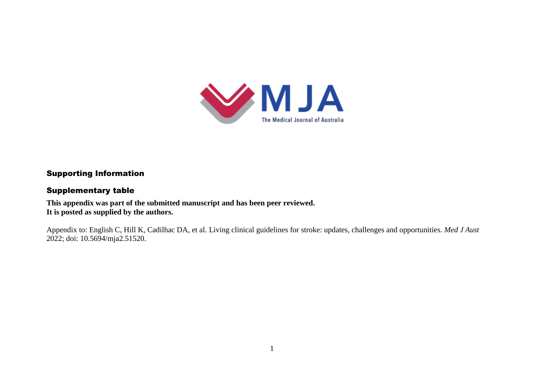

# Supporting Information

### Supplementary table

**This appendix was part of the submitted manuscript and has been peer reviewed. It is posted as supplied by the authors.**

Appendix to: English C, Hill K, Cadilhac DA, et al. Living clinical guidelines for stroke: updates, challenges and opportunities. *Med J Aust* 2022; doi: 10.5694/mja2.51520.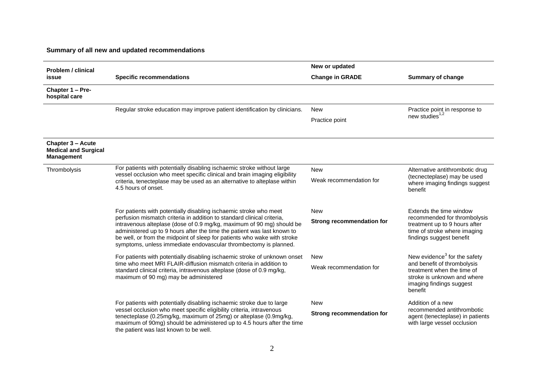# **Summary of all new and updated recommendations**

| <b>Problem / clinical</b><br>issue                                           |                                                                                                                                                                                                                                                                                                                                                                            | New or updated                   |                                                                                                                           |
|------------------------------------------------------------------------------|----------------------------------------------------------------------------------------------------------------------------------------------------------------------------------------------------------------------------------------------------------------------------------------------------------------------------------------------------------------------------|----------------------------------|---------------------------------------------------------------------------------------------------------------------------|
|                                                                              | <b>Specific recommendations</b>                                                                                                                                                                                                                                                                                                                                            | <b>Change in GRADE</b>           | <b>Summary of change</b>                                                                                                  |
| Chapter 1 - Pre-<br>hospital care                                            |                                                                                                                                                                                                                                                                                                                                                                            |                                  |                                                                                                                           |
|                                                                              | Regular stroke education may improve patient identification by clinicians.                                                                                                                                                                                                                                                                                                 | <b>New</b>                       | Practice point in response to                                                                                             |
|                                                                              |                                                                                                                                                                                                                                                                                                                                                                            | Practice point                   | new studies <sup>1,2</sup>                                                                                                |
| <b>Chapter 3 - Acute</b><br><b>Medical and Surgical</b><br><b>Management</b> |                                                                                                                                                                                                                                                                                                                                                                            |                                  |                                                                                                                           |
| Thrombolysis                                                                 | For patients with potentially disabling ischaemic stroke without large<br>vessel occlusion who meet specific clinical and brain imaging eligibility<br>criteria, tenecteplase may be used as an alternative to alteplase within<br>4.5 hours of onset.                                                                                                                     | <b>New</b>                       | Alternative antithrombotic drug                                                                                           |
|                                                                              |                                                                                                                                                                                                                                                                                                                                                                            | Weak recommendation for          | (tecnecteplase) may be used<br>where imaging findings suggest<br>benefit                                                  |
|                                                                              | For patients with potentially disabling ischaemic stroke who meet                                                                                                                                                                                                                                                                                                          | <b>New</b>                       | Extends the time window                                                                                                   |
|                                                                              | perfusion mismatch criteria in addition to standard clinical criteria,<br>intravenous alteplase (dose of 0.9 mg/kg, maximum of 90 mg) should be<br>administered up to 9 hours after the time the patient was last known to<br>be well, or from the midpoint of sleep for patients who wake with stroke<br>symptoms, unless immediate endovascular thrombectomy is planned. | <b>Strong recommendation for</b> | recommended for thrombolysis<br>treatment up to 9 hours after<br>time of stroke where imaging<br>findings suggest benefit |
|                                                                              | For patients with potentially disabling ischaemic stroke of unknown onset<br>time who meet MRI FLAIR-diffusion mismatch criteria in addition to                                                                                                                                                                                                                            | <b>New</b>                       | New evidence <sup>3</sup> for the safety<br>and benefit of thrombolysis                                                   |
|                                                                              | standard clinical criteria, intravenous alteplase (dose of 0.9 mg/kg,<br>maximum of 90 mg) may be administered                                                                                                                                                                                                                                                             | Weak recommendation for          | treatment when the time of<br>stroke is unknown and where<br>imaging findings suggest<br>benefit                          |
|                                                                              | For patients with potentially disabling ischaemic stroke due to large<br>vessel occlusion who meet specific eligibility criteria, intravenous                                                                                                                                                                                                                              | <b>New</b>                       | Addition of a new<br>recommended antithrombotic                                                                           |
|                                                                              | tenecteplase (0.25mg/kg, maximum of 25mg) or alteplase (0.9mg/kg,<br>maximum of 90mg) should be administered up to 4.5 hours after the time<br>the patient was last known to be well.                                                                                                                                                                                      | <b>Strong recommendation for</b> | agent (tenecteplase) in patients<br>with large vessel occlusion                                                           |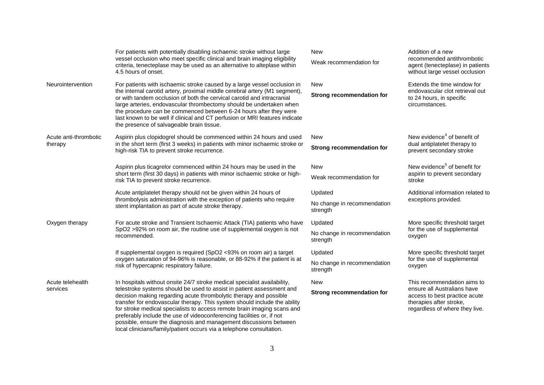|                                  | For patients with potentially disabling ischaemic stroke without large<br>vessel occlusion who meet specific clinical and brain imaging eligibility<br>criteria, tenecteplase may be used as an alternative to alteplase within<br>4.5 hours of onset.                                                                                                                                                                                                                                                                                                                                               | <b>New</b><br>Weak recommendation for              | Addition of a new<br>recommended antithrombotic<br>agent (tenecteplase) in patients<br>without large vessel occlusion                                    |
|----------------------------------|------------------------------------------------------------------------------------------------------------------------------------------------------------------------------------------------------------------------------------------------------------------------------------------------------------------------------------------------------------------------------------------------------------------------------------------------------------------------------------------------------------------------------------------------------------------------------------------------------|----------------------------------------------------|----------------------------------------------------------------------------------------------------------------------------------------------------------|
| Neurointervention                | For patients with ischaemic stroke caused by a large vessel occlusion in<br>the internal carotid artery, proximal middle cerebral artery (M1 segment),<br>or with tandem occlusion of both the cervical carotid and intracranial<br>large arteries, endovascular thrombectomy should be undertaken when<br>the procedure can be commenced between 6-24 hours after they were<br>last known to be well if clinical and CT perfusion or MRI features indicate<br>the presence of salvageable brain tissue.                                                                                             | <b>New</b><br><b>Strong recommendation for</b>     | Extends the time window for<br>endovascular clot retrieval out<br>to 24 hours, in specific<br>circumstances.                                             |
| Acute anti-thrombotic<br>therapy | Aspirin plus clopidogrel should be commenced within 24 hours and used<br>in the short term (first 3 weeks) in patients with minor ischaemic stroke or<br>high-risk TIA to prevent stroke recurrence.                                                                                                                                                                                                                                                                                                                                                                                                 | <b>New</b><br><b>Strong recommendation for</b>     | New evidence <sup>4</sup> of benefit of<br>dual antiplatelet therapy to<br>prevent secondary stroke                                                      |
|                                  | Aspirin plus ticagrelor commenced within 24 hours may be used in the<br>short term (first 30 days) in patients with minor ischaemic stroke or high-<br>risk TIA to prevent stroke recurrence.                                                                                                                                                                                                                                                                                                                                                                                                        | <b>New</b><br>Weak recommendation for              | New evidence <sup>5</sup> of benefit for<br>aspirin to prevent secondary<br>stroke                                                                       |
|                                  | Acute antiplatelet therapy should not be given within 24 hours of<br>thrombolysis administration with the exception of patients who require<br>stent implantation as part of acute stroke therapy.                                                                                                                                                                                                                                                                                                                                                                                                   | Updated<br>No change in recommendation<br>strength | Additional information related to<br>exceptions provided.                                                                                                |
| Oxygen therapy                   | For acute stroke and Transient Ischaemic Attack (TIA) patients who have<br>SpO2 >92% on room air, the routine use of supplemental oxygen is not<br>recommended.                                                                                                                                                                                                                                                                                                                                                                                                                                      | Updated<br>No change in recommendation<br>strength | More specific threshold target<br>for the use of supplemental<br>oxygen                                                                                  |
|                                  | If supplemental oxygen is required (SpO2 <93% on room air) a target<br>oxygen saturation of 94-96% is reasonable, or 88-92% if the patient is at<br>risk of hypercapnic respiratory failure.                                                                                                                                                                                                                                                                                                                                                                                                         | Updated<br>No change in recommendation<br>strength | More specific threshold target<br>for the use of supplemental<br>oxygen                                                                                  |
| Acute telehealth<br>services     | In hospitals without onsite 24/7 stroke medical specialist availability,<br>telestroke systems should be used to assist in patient assessment and<br>decision making regarding acute thrombolytic therapy and possible<br>transfer for endovascular therapy. This system should include the ability<br>for stroke medical specialists to access remote brain imaging scans and<br>preferably include the use of videoconferencing facilities or, if not<br>possible, ensure the diagnosis and management discussions between<br>local clinicians/family/patient occurs via a telephone consultation. | <b>New</b><br><b>Strong recommendation for</b>     | This recommendation aims to<br>ensure all Australians have<br>access to best practice acute<br>therapies after stroke,<br>regardless of where they live. |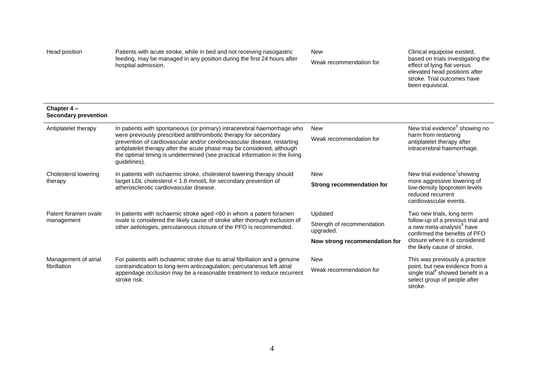| Head position | Patients with acute stroke, while in bed and not receiving nasogastric  |
|---------------|-------------------------------------------------------------------------|
|               | feeding, may be managed in any position during the first 24 hours after |
|               | hospital admission.                                                     |

New

Weak recommendation for

Clinical equipoise existed, based on trials investigating the effect of lying flat versus elevated head positions after stroke. Trial outcomes have been equivocal.

#### **Chapter 4 – Secondary prevention**

| Antiplatelet therapy | In patients with spontaneous (or primary) intracerebral haemorrhage who<br>were previously prescribed antithrombotic therapy for secondary<br>prevention of cardiovascular and/or cerebrovascular disease, restarting<br>antiplatelet therapy after the acute phase may be considered, although<br>the optimal timing is undetermined (see practical information in the living<br>guidelines). | New<br>Weak recommendation for          | New trial evidence <sup>6</sup> showing no<br>harm from restarting<br>antiplatelet therapy after<br>intracerebral haemorrhage. |
|----------------------|------------------------------------------------------------------------------------------------------------------------------------------------------------------------------------------------------------------------------------------------------------------------------------------------------------------------------------------------------------------------------------------------|-----------------------------------------|--------------------------------------------------------------------------------------------------------------------------------|
| Cholesterol lowering | In patients with ischaemic stroke, cholesterol lowering therapy should<br>target LDL cholesterol $<$ 1.8 mmol/L for secondary prevention of<br>atherosclerotic cardiovascular disease.                                                                                                                                                                                                         | New                                     | New trial evidence <sup>7</sup> showing                                                                                        |
| therapy              |                                                                                                                                                                                                                                                                                                                                                                                                | Strong recommendation for               | more aggressive lowering of<br>low-density lipoprotein levels<br>reduced recurrent<br>cardiovascular events.                   |
| Patent foramen ovale | In patients with ischaemic stroke aged <60 in whom a patent foramen                                                                                                                                                                                                                                                                                                                            | Updated                                 | Two new trials, long term                                                                                                      |
| management           | ovale is considered the likely cause of stroke after thorough exclusion of<br>other aetiologies, percutaneous closure of the PFO is recommended.                                                                                                                                                                                                                                               | Strength of recommendation<br>upgraded. | follow-up of a previous trial and<br>a new meta-analysis <sup>8</sup> have<br>confirmed the benefits of PFO                    |
|                      |                                                                                                                                                                                                                                                                                                                                                                                                | Now strong recommendation for           | closure where it is considered<br>the likely cause of stroke.                                                                  |
| Management of atrial | For patients with ischaemic stroke due to atrial fibrillation and a genuine                                                                                                                                                                                                                                                                                                                    | New                                     | This was previously a practice                                                                                                 |
| fibrillation         | contraindication to long-term anticoagulation, percutaneous left atrial<br>appendage occlusion may be a reasonable treatment to reduce recurrent<br>stroke risk.                                                                                                                                                                                                                               | Weak recommendation for                 | point, but new evidence from a<br>single trial <sup>9</sup> showed benefit in a<br>select group of people after<br>stroke.     |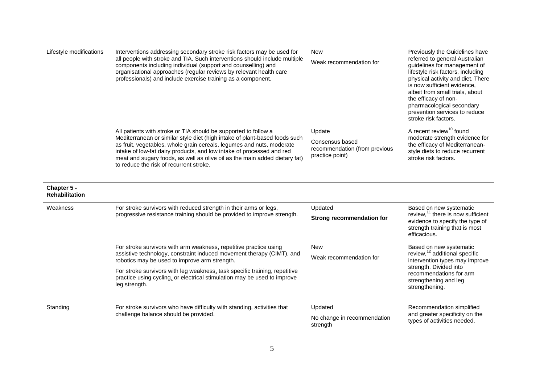| Lifestyle modifications              | Interventions addressing secondary stroke risk factors may be used for<br>all people with stroke and TIA. Such interventions should include multiple<br>components including individual (support and counselling) and<br>organisational approaches (regular reviews by relevant health care<br>professionals) and include exercise training as a component. | <b>New</b><br>Weak recommendation for                               | Previously the Guidelines have<br>referred to general Australian<br>guidelines for management of<br>lifestyle risk factors, including<br>physical activity and diet. There<br>is now sufficient evidence,<br>albeit from small trials, about<br>the efficacy of non-<br>pharmacological secondary<br>prevention services to reduce<br>stroke risk factors. |
|--------------------------------------|-------------------------------------------------------------------------------------------------------------------------------------------------------------------------------------------------------------------------------------------------------------------------------------------------------------------------------------------------------------|---------------------------------------------------------------------|------------------------------------------------------------------------------------------------------------------------------------------------------------------------------------------------------------------------------------------------------------------------------------------------------------------------------------------------------------|
|                                      | All patients with stroke or TIA should be supported to follow a                                                                                                                                                                                                                                                                                             | Update                                                              | A recent review <sup>10</sup> found                                                                                                                                                                                                                                                                                                                        |
|                                      | Mediterranean or similar style diet (high intake of plant-based foods such<br>as fruit, vegetables, whole grain cereals, legumes and nuts, moderate<br>intake of low-fat dairy products, and low intake of processed and red<br>meat and sugary foods, as well as olive oil as the main added dietary fat)<br>to reduce the risk of recurrent stroke.       | Consensus based<br>recommendation (from previous<br>practice point) | moderate strength evidence for<br>the efficacy of Mediterranean-<br>style diets to reduce recurrent<br>stroke risk factors.                                                                                                                                                                                                                                |
| Chapter 5 -<br><b>Rehabilitation</b> |                                                                                                                                                                                                                                                                                                                                                             |                                                                     |                                                                                                                                                                                                                                                                                                                                                            |
| Weakness                             | For stroke survivors with reduced strength in their arms or legs,<br>progressive resistance training should be provided to improve strength.                                                                                                                                                                                                                | Updated                                                             | Based on new systematic<br>review, $11$ there is now sufficient<br>evidence to specify the type of<br>strength training that is most<br>efficacious.                                                                                                                                                                                                       |
|                                      |                                                                                                                                                                                                                                                                                                                                                             | <b>Strong recommendation for</b>                                    |                                                                                                                                                                                                                                                                                                                                                            |
|                                      | For stroke survivors with arm weakness, repetitive practice using                                                                                                                                                                                                                                                                                           | <b>New</b>                                                          | Based on new systematic                                                                                                                                                                                                                                                                                                                                    |
|                                      | assistive technology, constraint induced movement therapy (CIMT), and<br>robotics may be used to improve arm strength.                                                                                                                                                                                                                                      | Weak recommendation for                                             | review, <sup>12</sup> additional specific<br>intervention types may improve                                                                                                                                                                                                                                                                                |
|                                      | For stroke survivors with leg weakness, task specific training, repetitive<br>practice using cycling, or electrical stimulation may be used to improve<br>leg strength.                                                                                                                                                                                     |                                                                     | strength. Divided into<br>recommendations for arm<br>strengthening and leg<br>strengthening.                                                                                                                                                                                                                                                               |
| Standing                             | For stroke survivors who have difficulty with standing, activities that<br>challenge balance should be provided.                                                                                                                                                                                                                                            | Updated                                                             | Recommendation simplified                                                                                                                                                                                                                                                                                                                                  |
|                                      |                                                                                                                                                                                                                                                                                                                                                             | No change in recommendation<br>strength                             | and greater specificity on the<br>types of activities needed.                                                                                                                                                                                                                                                                                              |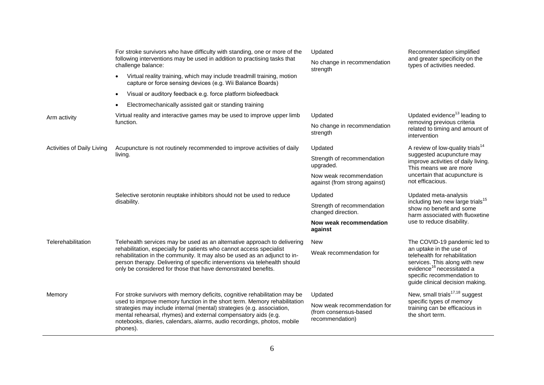|                            | For stroke survivors who have difficulty with standing, one or more of the<br>following interventions may be used in addition to practising tasks that<br>challenge balance:<br>Virtual reality training, which may include treadmill training, motion<br>capture or force sensing devices (e.g. Wii Balance Boards)                                                                      | Updated<br>No change in recommendation<br>strength                      | Recommendation simplified<br>and greater specificity on the<br>types of activities needed.                                                                                                                                          |
|----------------------------|-------------------------------------------------------------------------------------------------------------------------------------------------------------------------------------------------------------------------------------------------------------------------------------------------------------------------------------------------------------------------------------------|-------------------------------------------------------------------------|-------------------------------------------------------------------------------------------------------------------------------------------------------------------------------------------------------------------------------------|
|                            | Visual or auditory feedback e.g. force platform biofeedback<br>$\bullet$                                                                                                                                                                                                                                                                                                                  |                                                                         |                                                                                                                                                                                                                                     |
|                            | Electromechanically assisted gait or standing training                                                                                                                                                                                                                                                                                                                                    |                                                                         |                                                                                                                                                                                                                                     |
| Arm activity               | Virtual reality and interactive games may be used to improve upper limb<br>function.                                                                                                                                                                                                                                                                                                      | Updated                                                                 | Updated evidence <sup>13</sup> leading to<br>removing previous criteria<br>related to timing and amount of<br>intervention                                                                                                          |
|                            |                                                                                                                                                                                                                                                                                                                                                                                           | No change in recommendation<br>strength                                 |                                                                                                                                                                                                                                     |
| Activities of Daily Living | Acupuncture is not routinely recommended to improve activities of daily<br>living.                                                                                                                                                                                                                                                                                                        | Updated                                                                 | A review of low-quality trials <sup>14</sup><br>suggested acupuncture may<br>improve activities of daily living.<br>This means we are more<br>uncertain that acupuncture is<br>not efficacious.                                     |
|                            |                                                                                                                                                                                                                                                                                                                                                                                           | Strength of recommendation<br>upgraded.                                 |                                                                                                                                                                                                                                     |
|                            |                                                                                                                                                                                                                                                                                                                                                                                           | Now weak recommendation<br>against (from strong against)                |                                                                                                                                                                                                                                     |
|                            | Selective serotonin reuptake inhibitors should not be used to reduce<br>disability.                                                                                                                                                                                                                                                                                                       | Updated                                                                 | Updated meta-analysis<br>including two new large trials <sup>15</sup><br>show no benefit and some<br>harm associated with fluoxetine<br>use to reduce disability.                                                                   |
|                            |                                                                                                                                                                                                                                                                                                                                                                                           | Strength of recommendation<br>changed direction.                        |                                                                                                                                                                                                                                     |
|                            |                                                                                                                                                                                                                                                                                                                                                                                           | Now weak recommendation<br>against                                      |                                                                                                                                                                                                                                     |
| Telerehabilitation         | Telehealth services may be used as an alternative approach to delivering<br>rehabilitation, especially for patients who cannot access specialist<br>rehabilitation in the community. It may also be used as an adjunct to in-<br>person therapy. Delivering of specific interventions via telehealth should<br>only be considered for those that have demonstrated benefits.              | <b>New</b>                                                              | The COVID-19 pandemic led to<br>an uptake in the use of<br>telehealth for rehabilitation<br>services. This along with new<br>evidence <sup>16</sup> necessitated a<br>specific recommendation to<br>guide clinical decision making. |
|                            |                                                                                                                                                                                                                                                                                                                                                                                           | Weak recommendation for                                                 |                                                                                                                                                                                                                                     |
| Memory                     | For stroke survivors with memory deficits, cognitive rehabilitation may be<br>used to improve memory function in the short term. Memory rehabilitation<br>strategies may include internal (mental) strategies (e.g. association,<br>mental rehearsal, rhymes) and external compensatory aids (e.g.<br>notebooks, diaries, calendars, alarms, audio recordings, photos, mobile<br>phones). | Updated                                                                 | New, small trials <sup>17,18</sup> suggest<br>specific types of memory<br>training can be efficacious in<br>the short term.                                                                                                         |
|                            |                                                                                                                                                                                                                                                                                                                                                                                           | Now weak recommendation for<br>(from consensus-based<br>recommendation) |                                                                                                                                                                                                                                     |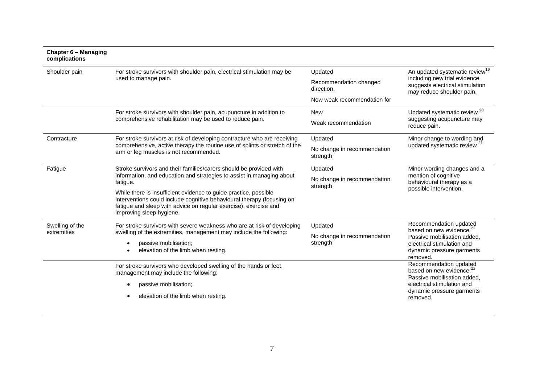#### **Chapter 6 – Managing complications**

| Shoulder pain                  | For stroke survivors with shoulder pain, electrical stimulation may be<br>used to manage pain.                                                                                                                                             | Updated<br>Recommendation changed<br>direction. | An updated systematic review <sup>19</sup><br>including new trial evidence<br>suggests electrical stimulation<br>may reduce shoulder pain. |
|--------------------------------|--------------------------------------------------------------------------------------------------------------------------------------------------------------------------------------------------------------------------------------------|-------------------------------------------------|--------------------------------------------------------------------------------------------------------------------------------------------|
|                                |                                                                                                                                                                                                                                            | Now weak recommendation for                     |                                                                                                                                            |
|                                | For stroke survivors with shoulder pain, acupuncture in addition to                                                                                                                                                                        | <b>New</b>                                      | Updated systematic review <sup>20</sup>                                                                                                    |
|                                | comprehensive rehabilitation may be used to reduce pain.                                                                                                                                                                                   | Weak recommendation                             | suggesting acupuncture may<br>reduce pain.                                                                                                 |
| Contracture                    | For stroke survivors at risk of developing contracture who are receiving<br>comprehensive, active therapy the routine use of splints or stretch of the<br>arm or leg muscles is not recommended.                                           | Updated                                         | Minor change to wording and<br>updated systematic review <sup>21</sup>                                                                     |
|                                |                                                                                                                                                                                                                                            | No change in recommendation<br>strength         |                                                                                                                                            |
| Fatigue                        | Stroke survivors and their families/carers should be provided with<br>information, and education and strategies to assist in managing about<br>fatigue.                                                                                    | Updated                                         | Minor wording changes and a                                                                                                                |
|                                |                                                                                                                                                                                                                                            | No change in recommendation<br>strength         | mention of cognitive<br>behavioural therapy as a<br>possible intervention.                                                                 |
|                                | While there is insufficient evidence to guide practice, possible<br>interventions could include cognitive behavioural therapy (focusing on<br>fatigue and sleep with advice on regular exercise), exercise and<br>improving sleep hygiene. |                                                 |                                                                                                                                            |
| Swelling of the<br>extremities | For stroke survivors with severe weakness who are at risk of developing<br>swelling of the extremities, management may include the following:                                                                                              | Updated                                         | Recommendation updated<br>based on new evidence. <sup>22</sup>                                                                             |
|                                |                                                                                                                                                                                                                                            | No change in recommendation<br>strength         | Passive mobilisation added,<br>electrical stimulation and<br>dynamic pressure garments<br>removed.                                         |
|                                | passive mobilisation;<br>elevation of the limb when resting.                                                                                                                                                                               |                                                 |                                                                                                                                            |
|                                | For stroke survivors who developed swelling of the hands or feet,<br>management may include the following:                                                                                                                                 |                                                 | Recommendation updated<br>based on new evidence. <sup>22</sup><br>Passive mobilisation added,                                              |
|                                | passive mobilisation;                                                                                                                                                                                                                      |                                                 | electrical stimulation and                                                                                                                 |
|                                | elevation of the limb when resting.                                                                                                                                                                                                        |                                                 | dynamic pressure garments<br>removed.                                                                                                      |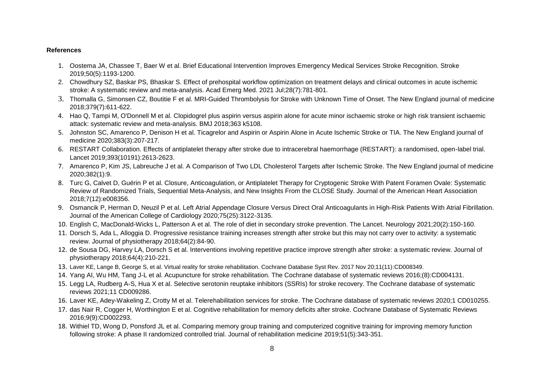### **References**

- 1. Oostema JA, Chassee T, Baer W et al. Brief Educational Intervention Improves Emergency Medical Services Stroke Recognition. Stroke 2019;50(5):1193-1200.
- 2. Chowdhury SZ, Baskar PS, Bhaskar S. Effect of prehospital workflow optimization on treatment delays and clinical outcomes in acute ischemic stroke: A systematic review and meta-analysis. Acad Emerg Med. 2021 Jul;28(7):781-801.
- 3. Thomalla G, Simonsen CZ, Boutitie F et al. MRI-Guided Thrombolysis for Stroke with Unknown Time of Onset. The New England journal of medicine 2018;379(7):611-622.
- 4. Hao Q, Tampi M, O'Donnell M et al. Clopidogrel plus aspirin versus aspirin alone for acute minor ischaemic stroke or high risk transient ischaemic attack: systematic review and meta-analysis. BMJ 2018;363 k5108.
- 5. Johnston SC, Amarenco P, Denison H et al. Ticagrelor and Aspirin or Aspirin Alone in Acute Ischemic Stroke or TIA. The New England journal of medicine 2020;383(3):207-217.
- 6. RESTART Collaboration. Effects of antiplatelet therapy after stroke due to intracerebral haemorrhage (RESTART): a randomised, open-label trial. Lancet 2019;393(10191):2613-2623.
- 7. Amarenco P, Kim JS, Labreuche J et al. A Comparison of Two LDL Cholesterol Targets after Ischemic Stroke. The New England journal of medicine 2020;382(1):9.
- 8. Turc G, Calvet D, Guérin P et al. Closure, Anticoagulation, or Antiplatelet Therapy for Cryptogenic Stroke With Patent Foramen Ovale: Systematic Review of Randomized Trials, Sequential Meta-Analysis, and New Insights From the CLOSE Study. Journal of the American Heart Association 2018;7(12):e008356.
- 9. Osmancik P, Herman D, Neuzil P et al. Left Atrial Appendage Closure Versus Direct Oral Anticoagulants in High-Risk Patients With Atrial Fibrillation. Journal of the American College of Cardiology 2020;75(25):3122-3135.
- 10. English C, MacDonald-Wicks L, Patterson A et al. The role of diet in secondary stroke prevention. The Lancet. Neurology 2021;20(2):150-160.
- 11. Dorsch S, Ada L, Alloggia D. Progressive resistance training increases strength after stroke but this may not carry over to activity: a systematic review. Journal of physiotherapy 2018;64(2):84-90.
- 12. de Sousa DG, Harvey LA, Dorsch S et al. Interventions involving repetitive practice improve strength after stroke: a systematic review. Journal of physiotherapy 2018;64(4):210-221.
- 13. Laver KE, Lange B, George S, et al. Virtual reality for stroke rehabilitation. Cochrane Database Syst Rev. 2017 Nov 20;11(11):CD008349.
- 14. Yang AI, Wu HM, Tang J-L et al. Acupuncture for stroke rehabilitation. The Cochrane database of systematic reviews 2016;(8):CD004131.
- 15. Legg LA, Rudberg A-S, Hua X et al. Selective serotonin reuptake inhibitors (SSRIs) for stroke recovery. The Cochrane database of systematic reviews 2021;11 CD009286.
- 16. Laver KE, Adey-Wakeling Z, Crotty M et al. Telerehabilitation services for stroke. The Cochrane database of systematic reviews 2020;1 CD010255.
- 17. das Nair R, Cogger H, Worthington E et al. Cognitive rehabilitation for memory deficits after stroke. Cochrane Database of Systematic Reviews 2016;9(9):CD002293.
- 18. Withiel TD, Wong D, Ponsford JL et al. Comparing memory group training and computerized cognitive training for improving memory function following stroke: A phase II randomized controlled trial. Journal of rehabilitation medicine 2019;51(5):343-351.